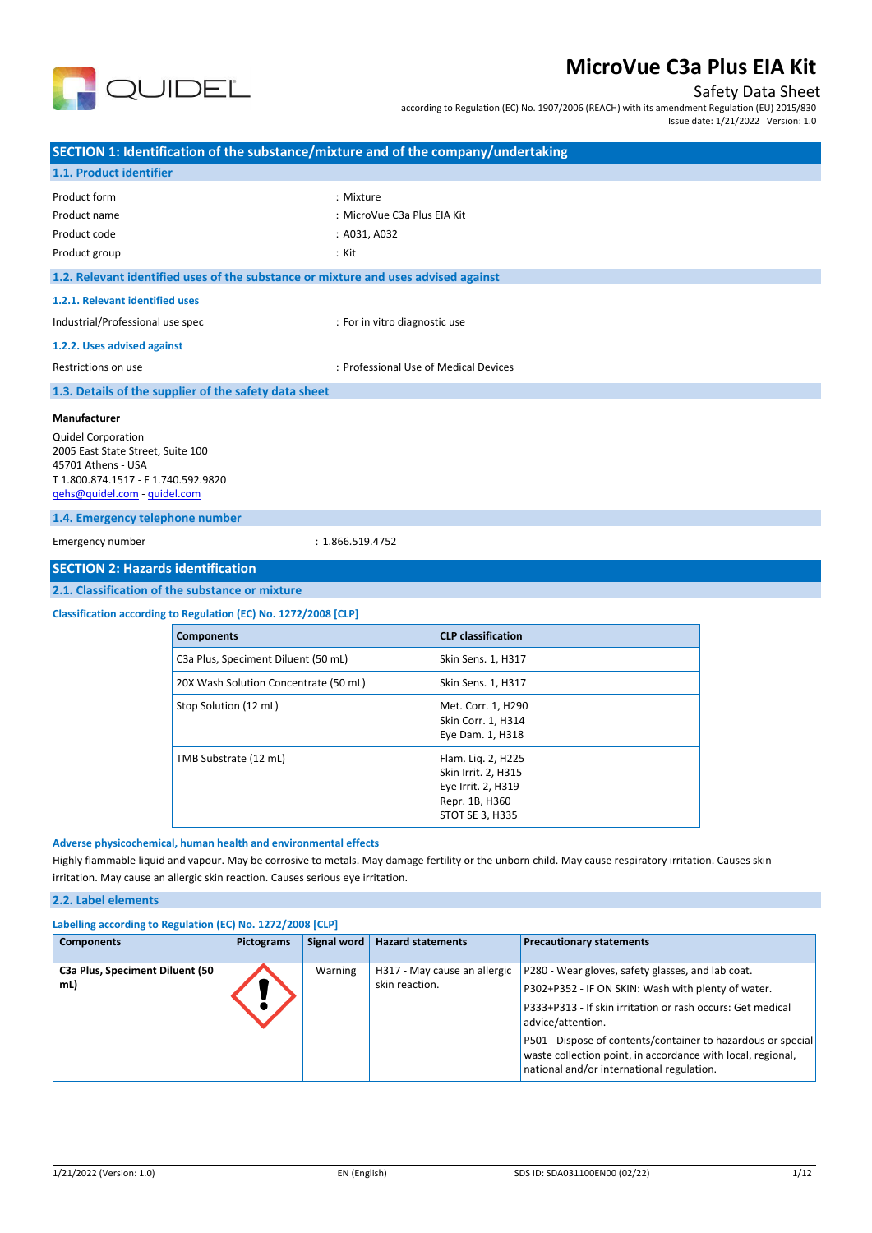

## Safety Data Sheet

according to Regulation (EC) No. 1907/2006 (REACH) with its amendment Regulation (EU) 2015/830

Issue date: 1/21/2022 Version: 1.0

| SECTION 1: Identification of the substance/mixture and of the company/undertaking                                                                           |                                       |
|-------------------------------------------------------------------------------------------------------------------------------------------------------------|---------------------------------------|
| 1.1. Product identifier                                                                                                                                     |                                       |
| Product form                                                                                                                                                | : Mixture                             |
| Product name                                                                                                                                                | : MicroVue C3a Plus EIA Kit           |
| Product code                                                                                                                                                | : A031, A032<br>: Kit                 |
| Product group                                                                                                                                               |                                       |
| 1.2. Relevant identified uses of the substance or mixture and uses advised against                                                                          |                                       |
| 1.2.1. Relevant identified uses                                                                                                                             |                                       |
| Industrial/Professional use spec                                                                                                                            | : For in vitro diagnostic use         |
| 1.2.2. Uses advised against                                                                                                                                 |                                       |
| Restrictions on use                                                                                                                                         | : Professional Use of Medical Devices |
| 1.3. Details of the supplier of the safety data sheet                                                                                                       |                                       |
| Manufacturer                                                                                                                                                |                                       |
| <b>Quidel Corporation</b><br>2005 East State Street, Suite 100<br>45701 Athens - USA<br>T 1.800.874.1517 - F 1.740.592.9820<br>qehs@quidel.com - quidel.com |                                       |
| 1.4. Emergency telephone number                                                                                                                             |                                       |
| Emergency number                                                                                                                                            | : 1.866.519.4752                      |
| <b>SECTION 2: Hazards identification</b>                                                                                                                    |                                       |
| 2.1. Classification of the substance or mixture                                                                                                             |                                       |
| Classification according to Regulation (EC) No. 1272/2008 [CLP]                                                                                             |                                       |
| Components                                                                                                                                                  | CLP classification                    |

| <b>Components</b>                     | <b>CLP classification</b>                                                                            |
|---------------------------------------|------------------------------------------------------------------------------------------------------|
| C3a Plus, Speciment Diluent (50 mL)   | Skin Sens. 1, H317                                                                                   |
| 20X Wash Solution Concentrate (50 mL) | Skin Sens. 1, H317                                                                                   |
| Stop Solution (12 mL)                 | Met. Corr. 1, H290<br>Skin Corr. 1, H314<br>Eye Dam. 1, H318                                         |
| TMB Substrate (12 mL)                 | Flam. Lig. 2, H225<br>Skin Irrit. 2, H315<br>Eye Irrit. 2, H319<br>Repr. 1B, H360<br>STOT SE 3, H335 |

#### **Adverse physicochemical, human health and environmental effects**

Highly flammable liquid and vapour. May be corrosive to metals. May damage fertility or the unborn child. May cause respiratory irritation. Causes skin irritation. May cause an allergic skin reaction. Causes serious eye irritation.

#### **2.2. Label elements**

| Labelling according to Regulation (EC) No. 1272/2008 [CLP] |                   |             |                                                |                                                                                                                                                                                                                                                                                                                                                                        |
|------------------------------------------------------------|-------------------|-------------|------------------------------------------------|------------------------------------------------------------------------------------------------------------------------------------------------------------------------------------------------------------------------------------------------------------------------------------------------------------------------------------------------------------------------|
| <b>Components</b>                                          | <b>Pictograms</b> | Signal word | <b>Hazard statements</b>                       | <b>Precautionary statements</b>                                                                                                                                                                                                                                                                                                                                        |
| C3a Plus, Speciment Diluent (50<br>mL)                     |                   | Warning     | H317 - May cause an allergic<br>skin reaction. | P280 - Wear gloves, safety glasses, and lab coat.<br>P302+P352 - IF ON SKIN: Wash with plenty of water.<br>P333+P313 - If skin irritation or rash occurs: Get medical<br>advice/attention.<br>P501 - Dispose of contents/container to hazardous or special<br>waste collection point, in accordance with local, regional,<br>national and/or international regulation. |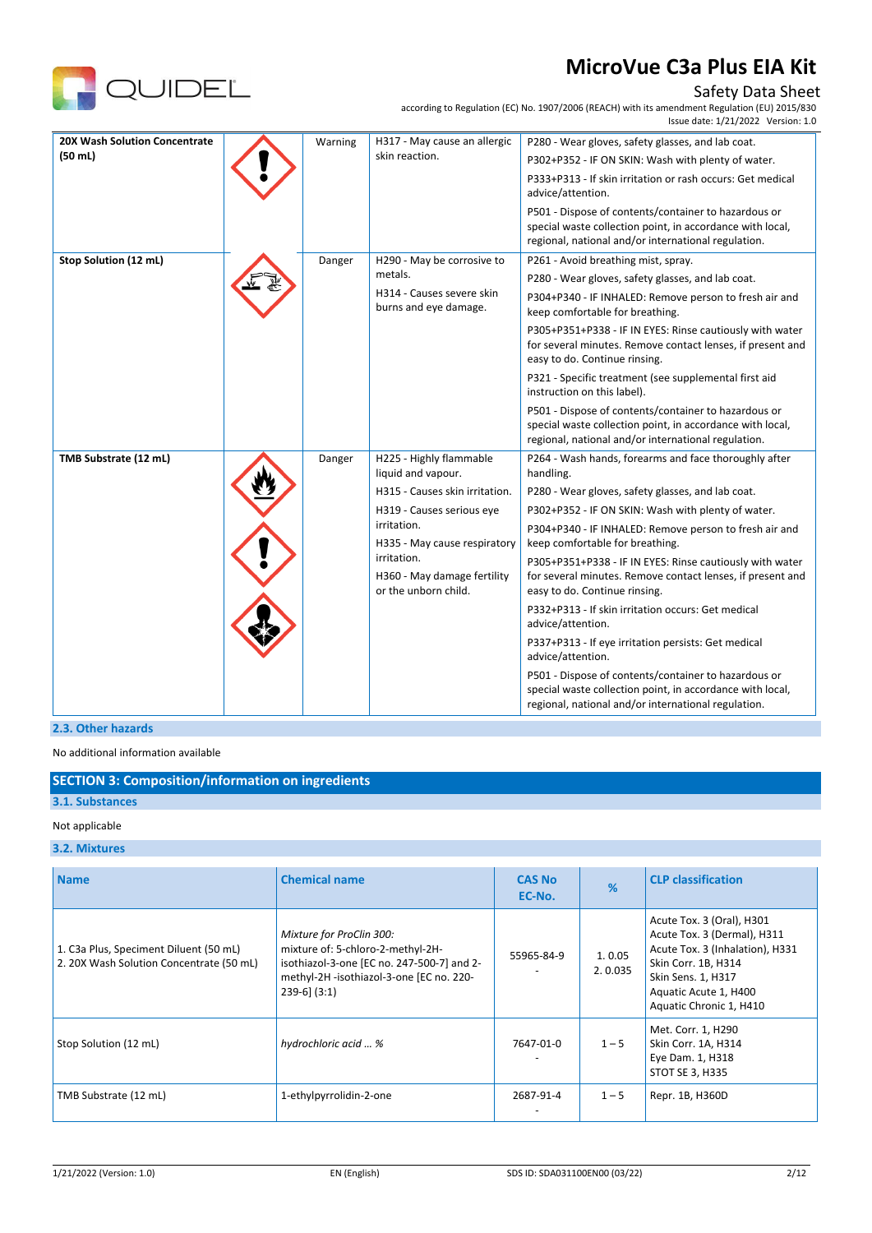

## Safety Data Sheet

according to Regulation (EC) No. 1907/2006 (REACH) with its amendment Regulation (EU) 2015/830

|                                                                    |                                                                                                                                                         |                                                    | Issue date: 1/21/2022 Version: 1.0                                                                                                                                       |
|--------------------------------------------------------------------|---------------------------------------------------------------------------------------------------------------------------------------------------------|----------------------------------------------------|--------------------------------------------------------------------------------------------------------------------------------------------------------------------------|
| <b>20X Wash Solution Concentrate</b>                               | Warning                                                                                                                                                 | H317 - May cause an allergic                       | P280 - Wear gloves, safety glasses, and lab coat.                                                                                                                        |
| (50 ml)                                                            |                                                                                                                                                         | skin reaction.                                     | P302+P352 - IF ON SKIN: Wash with plenty of water.                                                                                                                       |
|                                                                    |                                                                                                                                                         |                                                    | P333+P313 - If skin irritation or rash occurs: Get medical<br>advice/attention.                                                                                          |
|                                                                    |                                                                                                                                                         |                                                    | P501 - Dispose of contents/container to hazardous or<br>special waste collection point, in accordance with local,<br>regional, national and/or international regulation. |
| Stop Solution (12 mL)                                              | Danger                                                                                                                                                  | H290 - May be corrosive to                         | P261 - Avoid breathing mist, spray.                                                                                                                                      |
|                                                                    |                                                                                                                                                         | metals.                                            | P280 - Wear gloves, safety glasses, and lab coat.                                                                                                                        |
|                                                                    |                                                                                                                                                         | H314 - Causes severe skin<br>burns and eye damage. | P304+P340 - IF INHALED: Remove person to fresh air and<br>keep comfortable for breathing.                                                                                |
|                                                                    |                                                                                                                                                         |                                                    | P305+P351+P338 - IF IN EYES: Rinse cautiously with water<br>for several minutes. Remove contact lenses, if present and<br>easy to do. Continue rinsing.                  |
|                                                                    |                                                                                                                                                         |                                                    | P321 - Specific treatment (see supplemental first aid<br>instruction on this label).                                                                                     |
|                                                                    |                                                                                                                                                         |                                                    | P501 - Dispose of contents/container to hazardous or<br>special waste collection point, in accordance with local,<br>regional, national and/or international regulation. |
| TMB Substrate (12 mL)                                              | Danger                                                                                                                                                  | H225 - Highly flammable<br>liquid and vapour.      | P264 - Wash hands, forearms and face thoroughly after<br>handling.                                                                                                       |
|                                                                    |                                                                                                                                                         | H315 - Causes skin irritation.                     | P280 - Wear gloves, safety glasses, and lab coat.                                                                                                                        |
|                                                                    |                                                                                                                                                         | H319 - Causes serious eye                          | P302+P352 - IF ON SKIN: Wash with plenty of water.                                                                                                                       |
|                                                                    |                                                                                                                                                         | irritation.<br>H335 - May cause respiratory        | P304+P340 - IF INHALED: Remove person to fresh air and<br>keep comfortable for breathing.                                                                                |
| irritation.<br>H360 - May damage fertility<br>or the unborn child. | P305+P351+P338 - IF IN EYES: Rinse cautiously with water<br>for several minutes. Remove contact lenses, if present and<br>easy to do. Continue rinsing. |                                                    |                                                                                                                                                                          |
|                                                                    |                                                                                                                                                         |                                                    | P332+P313 - If skin irritation occurs: Get medical<br>advice/attention.                                                                                                  |
|                                                                    |                                                                                                                                                         |                                                    | P337+P313 - If eye irritation persists: Get medical<br>advice/attention.                                                                                                 |
|                                                                    |                                                                                                                                                         |                                                    | P501 - Dispose of contents/container to hazardous or<br>special waste collection point, in accordance with local,<br>regional, national and/or international regulation. |

## **2.3. Other hazards**

No additional information available

### **SECTION 3: Composition/information on ingredients**

#### **3.1. Substances**

#### Not applicable

#### **3.2. Mixtures**

| <b>Name</b>                                                                        | <b>Chemical name</b>                                                                                                                                                        | <b>CAS No</b><br>EC-No. | %                 | <b>CLP classification</b>                                                                                                                                                                    |
|------------------------------------------------------------------------------------|-----------------------------------------------------------------------------------------------------------------------------------------------------------------------------|-------------------------|-------------------|----------------------------------------------------------------------------------------------------------------------------------------------------------------------------------------------|
| 1. C3a Plus, Speciment Diluent (50 mL)<br>2. 20X Wash Solution Concentrate (50 mL) | Mixture for ProClin 300:<br>mixture of: 5-chloro-2-methyl-2H-<br>isothiazol-3-one [EC no. 247-500-7] and 2-<br>methyl-2H-isothiazol-3-one [EC no. 220-<br>$239-6$ ] $(3:1)$ | 55965-84-9              | 1.0.05<br>2.0.035 | Acute Tox. 3 (Oral), H301<br>Acute Tox. 3 (Dermal), H311<br>Acute Tox. 3 (Inhalation), H331<br>Skin Corr. 1B, H314<br>Skin Sens. 1, H317<br>Aquatic Acute 1, H400<br>Aquatic Chronic 1, H410 |
| Stop Solution (12 mL)                                                              | hydrochloric acid  %                                                                                                                                                        | 7647-01-0               | $1 - 5$           | Met. Corr. 1, H290<br>Skin Corr. 1A, H314<br>Eye Dam. 1, H318<br>STOT SE 3, H335                                                                                                             |
| TMB Substrate (12 mL)                                                              | 1-ethylpyrrolidin-2-one                                                                                                                                                     | 2687-91-4               | $1 - 5$           | Repr. 1B, H360D                                                                                                                                                                              |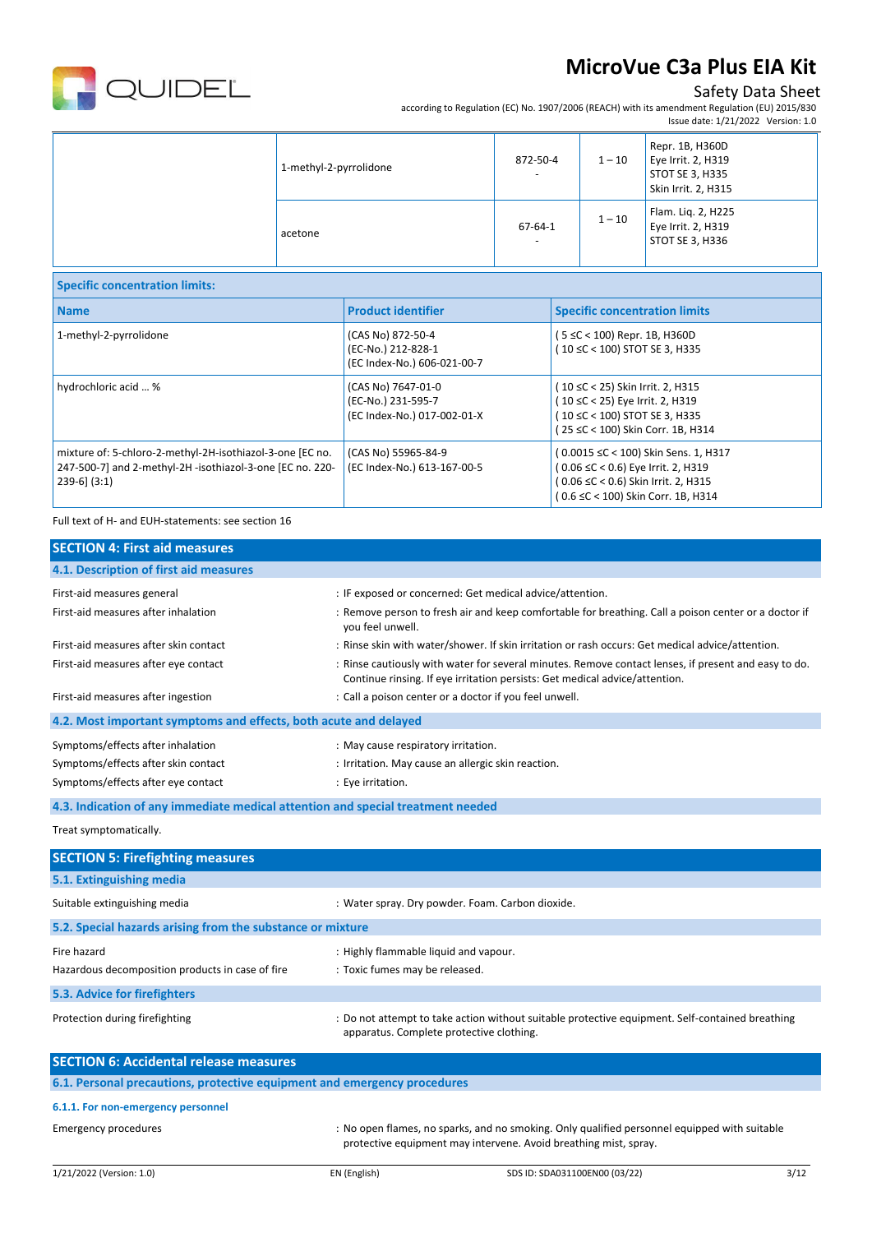

## Safety Data Sheet

according to Regulation (EC) No. 1907/2006 (REACH) with its amendment Regulation (EU) 2015/830 Issue date: 1/21/2022 Version: 1.0

| 1-methyl-2-pyrrolidone | 872-50-4<br>$\overline{\phantom{a}}$      | $1-10$   | Repr. 1B, H360D<br>Eye Irrit. 2, H319<br>STOT SE 3, H335<br>Skin Irrit. 2, H315 |
|------------------------|-------------------------------------------|----------|---------------------------------------------------------------------------------|
| acetone                | $67 - 64 - 1$<br>$\overline{\phantom{a}}$ | $1 - 10$ | Flam. Liq. 2, H225<br>Eye Irrit. 2, H319<br><b>STOT SE 3, H336</b>              |

| <b>Specific concentration limits:</b>                                                                                                   |                                                                         |                                                                                                                                                         |
|-----------------------------------------------------------------------------------------------------------------------------------------|-------------------------------------------------------------------------|---------------------------------------------------------------------------------------------------------------------------------------------------------|
| <b>Name</b>                                                                                                                             | <b>Product identifier</b>                                               | <b>Specific concentration limits</b>                                                                                                                    |
| 1-methyl-2-pyrrolidone                                                                                                                  | (CAS No) 872-50-4<br>(EC-No.) 212-828-1<br>(EC Index-No.) 606-021-00-7  | (5 ≤C < 100) Repr. 1B, H360D<br>(10 ≤C < 100) STOT SE 3, H335                                                                                           |
| hydrochloric acid  %                                                                                                                    | (CAS No) 7647-01-0<br>(EC-No.) 231-595-7<br>(EC Index-No.) 017-002-01-X | (10 ≤C < 25) Skin Irrit. 2, H315<br>(10 ≤C < 25) Eye Irrit. 2, H319<br>(10 ≤C < 100) STOT SE 3, H335<br>(25 ≤C < 100) Skin Corr. 1B, H314               |
| mixture of: 5-chloro-2-methyl-2H-isothiazol-3-one [EC no.<br>247-500-7] and 2-methyl-2H -isothiazol-3-one [EC no. 220-<br>$239-6$ (3:1) | (CAS No) 55965-84-9<br>(EC Index-No.) 613-167-00-5                      | (0.0015 ≤C < 100) Skin Sens. 1, H317<br>(0.06 ≤C < 0.6) Eye Irrit. 2, H319<br>(0.06 ≤C < 0.6) Skin Irrit. 2, H315<br>(0.6 ≤C < 100) Skin Corr. 1B, H314 |

#### Full text of H- and EUH-statements: see section 16

| <b>SECTION 4: First aid measures</b>                                            |                                                                                                                                                                                     |
|---------------------------------------------------------------------------------|-------------------------------------------------------------------------------------------------------------------------------------------------------------------------------------|
| 4.1. Description of first aid measures                                          |                                                                                                                                                                                     |
| First-aid measures general                                                      | : IF exposed or concerned: Get medical advice/attention.                                                                                                                            |
| First-aid measures after inhalation                                             | : Remove person to fresh air and keep comfortable for breathing. Call a poison center or a doctor if<br>you feel unwell.                                                            |
| First-aid measures after skin contact                                           | : Rinse skin with water/shower. If skin irritation or rash occurs: Get medical advice/attention.                                                                                    |
| First-aid measures after eye contact                                            | : Rinse cautiously with water for several minutes. Remove contact lenses, if present and easy to do.<br>Continue rinsing. If eye irritation persists: Get medical advice/attention. |
| First-aid measures after ingestion                                              | : Call a poison center or a doctor if you feel unwell.                                                                                                                              |
| 4.2. Most important symptoms and effects, both acute and delayed                |                                                                                                                                                                                     |
| Symptoms/effects after inhalation                                               | : May cause respiratory irritation.                                                                                                                                                 |
| Symptoms/effects after skin contact                                             | : Irritation. May cause an allergic skin reaction.                                                                                                                                  |
| Symptoms/effects after eye contact                                              | : Eye irritation.                                                                                                                                                                   |
| 4.3. Indication of any immediate medical attention and special treatment needed |                                                                                                                                                                                     |
| Treat symptomatically.                                                          |                                                                                                                                                                                     |
| <b>SECTION 5: Firefighting measures</b>                                         |                                                                                                                                                                                     |
| 5.1. Extinguishing media                                                        |                                                                                                                                                                                     |

| Suitable extinguishing media                                             | : Water spray. Dry powder. Foam. Carbon dioxide.                                                                                            |
|--------------------------------------------------------------------------|---------------------------------------------------------------------------------------------------------------------------------------------|
| 5.2. Special hazards arising from the substance or mixture               |                                                                                                                                             |
| Fire hazard                                                              | : Highly flammable liquid and vapour.                                                                                                       |
| Hazardous decomposition products in case of fire                         | : Toxic fumes may be released.                                                                                                              |
| 5.3. Advice for firefighters                                             |                                                                                                                                             |
| Protection during firefighting                                           | : Do not attempt to take action without suitable protective equipment. Self-contained breathing<br>apparatus. Complete protective clothing. |
| <b>SECTION 6: Accidental release measures</b>                            |                                                                                                                                             |
| 6.1. Personal precautions, protective equipment and emergency procedures |                                                                                                                                             |

#### **6.1.1. For non-emergency personnel**

Emergency procedures **incontagat in the sum of the Company** of No open flames, no sparks, and no smoking. Only qualified personnel equipped with suitable protective equipment may intervene. Avoid breathing mist, spray.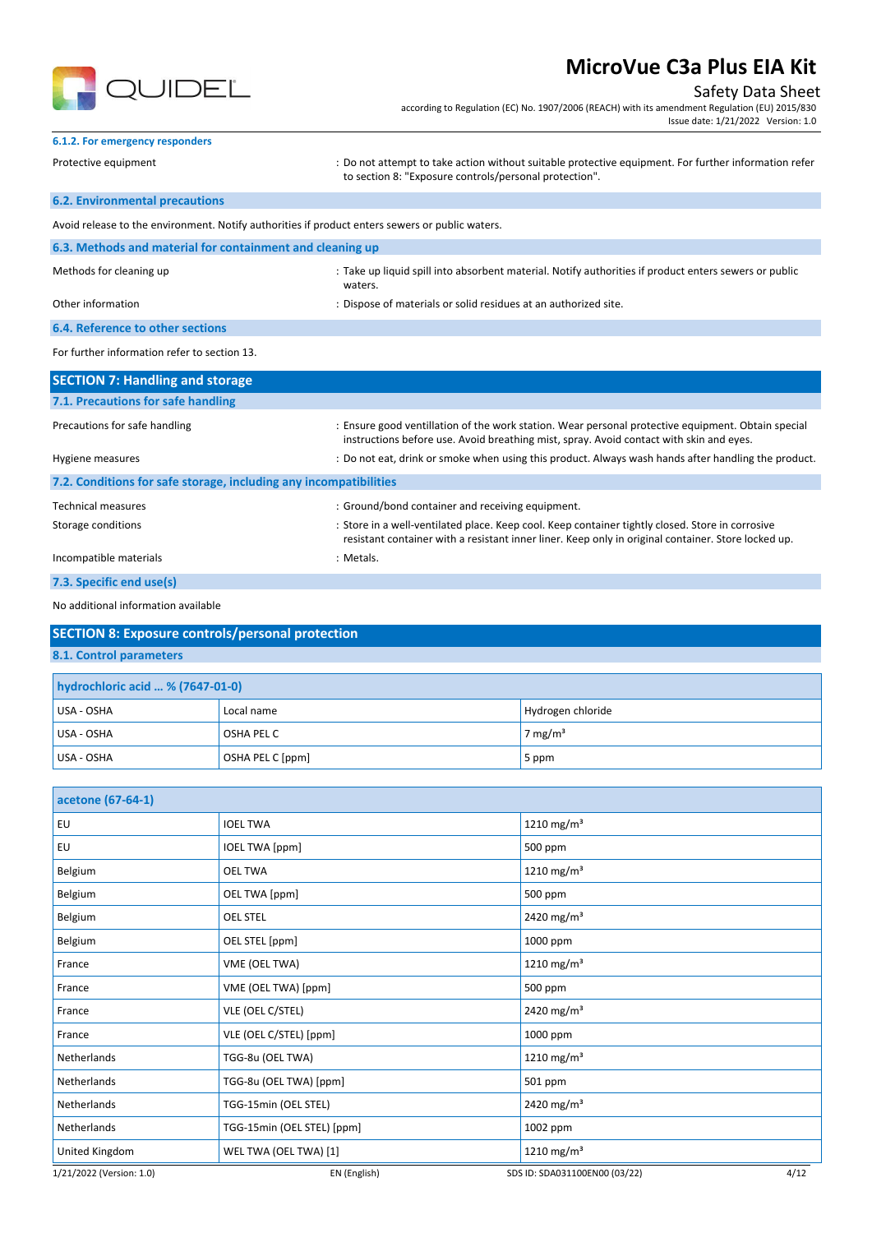

## Safety Data Sheet

according to Regulation (EC) No. 1907/2006 (REACH) with its amendment Regulation (EU) 2015/830 Issue date: 1/21/2022 Version: 1.0

### **6.1.2. For emergency responders**

Protective equipment **interprotation in the support of the settion** without suitable protective equipment. For further information refer

#### **6.2. Environmental precautions**

to section 8: "Exposure controls/personal protection".

| Avoid release to the environment. Notify authorities if product enters sewers or public waters. |                                                                                                                  |
|-------------------------------------------------------------------------------------------------|------------------------------------------------------------------------------------------------------------------|
| 6.3. Methods and material for containment and cleaning up                                       |                                                                                                                  |
| Methods for cleaning up                                                                         | : Take up liquid spill into absorbent material. Notify authorities if product enters sewers or public<br>waters. |
| Other information                                                                               | : Dispose of materials or solid residues at an authorized site.                                                  |
| <b>6.4. Reference to other sections</b>                                                         |                                                                                                                  |

#### For further information refer to section 13.

| <b>SECTION 7: Handling and storage</b>                            |                                                                                                                                                                                                         |
|-------------------------------------------------------------------|---------------------------------------------------------------------------------------------------------------------------------------------------------------------------------------------------------|
| 7.1. Precautions for safe handling                                |                                                                                                                                                                                                         |
| Precautions for safe handling                                     | : Ensure good ventillation of the work station. Wear personal protective equipment. Obtain special<br>instructions before use. Avoid breathing mist, spray. Avoid contact with skin and eyes.           |
| Hygiene measures                                                  | : Do not eat, drink or smoke when using this product. Always wash hands after handling the product.                                                                                                     |
| 7.2. Conditions for safe storage, including any incompatibilities |                                                                                                                                                                                                         |
| <b>Technical measures</b>                                         | : Ground/bond container and receiving equipment.                                                                                                                                                        |
| Storage conditions                                                | : Store in a well-ventilated place. Keep cool. Keep container tightly closed. Store in corrosive<br>resistant container with a resistant inner liner. Keep only in original container. Store locked up. |
| Incompatible materials                                            | : Metals.                                                                                                                                                                                               |
| 7.3. Specific end use(s)                                          |                                                                                                                                                                                                         |

#### No additional information available

| <b>SECTION 8: Exposure controls/personal protection</b> |
|---------------------------------------------------------|
| 8.1. Control parameters                                 |
| hydrochloric acid  % (7647-01-0)                        |
|                                                         |

| USA - OSHA | Local name       | Hydrogen chloride |
|------------|------------------|-------------------|
| USA - OSHA | OSHA PEL C       | 7 mg/m $3$        |
| USA - OSHA | OSHA PEL C [ppm] | $5$ ppm           |

| acetone (67-64-1)        |                            |                                       |
|--------------------------|----------------------------|---------------------------------------|
| EU                       | <b>IOEL TWA</b>            | 1210 mg/m <sup>3</sup>                |
| EU                       | <b>IOEL TWA [ppm]</b>      | 500 ppm                               |
| Belgium                  | <b>OEL TWA</b>             | 1210 mg/m <sup>3</sup>                |
| Belgium                  | OEL TWA [ppm]              | 500 ppm                               |
| Belgium                  | <b>OEL STEL</b>            | 2420 mg/m <sup>3</sup>                |
| Belgium                  | OEL STEL [ppm]             | 1000 ppm                              |
| France                   | VME (OEL TWA)              | 1210 mg/m <sup>3</sup>                |
| France                   | VME (OEL TWA) [ppm]        | 500 ppm                               |
| France                   | VLE (OEL C/STEL)           | 2420 mg/m <sup>3</sup>                |
| France                   | VLE (OEL C/STEL) [ppm]     | 1000 ppm                              |
| Netherlands              | TGG-8u (OEL TWA)           | 1210 mg/m <sup>3</sup>                |
| Netherlands              | TGG-8u (OEL TWA) [ppm]     | 501 ppm                               |
| Netherlands              | TGG-15min (OEL STEL)       | 2420 mg/m <sup>3</sup>                |
| Netherlands              | TGG-15min (OEL STEL) [ppm] | 1002 ppm                              |
| United Kingdom           | WEL TWA (OEL TWA) [1]      | 1210 mg/m <sup>3</sup>                |
| 1/21/2022 (Version: 1.0) | EN (English)               | 4/12<br>SDS ID: SDA031100EN00 (03/22) |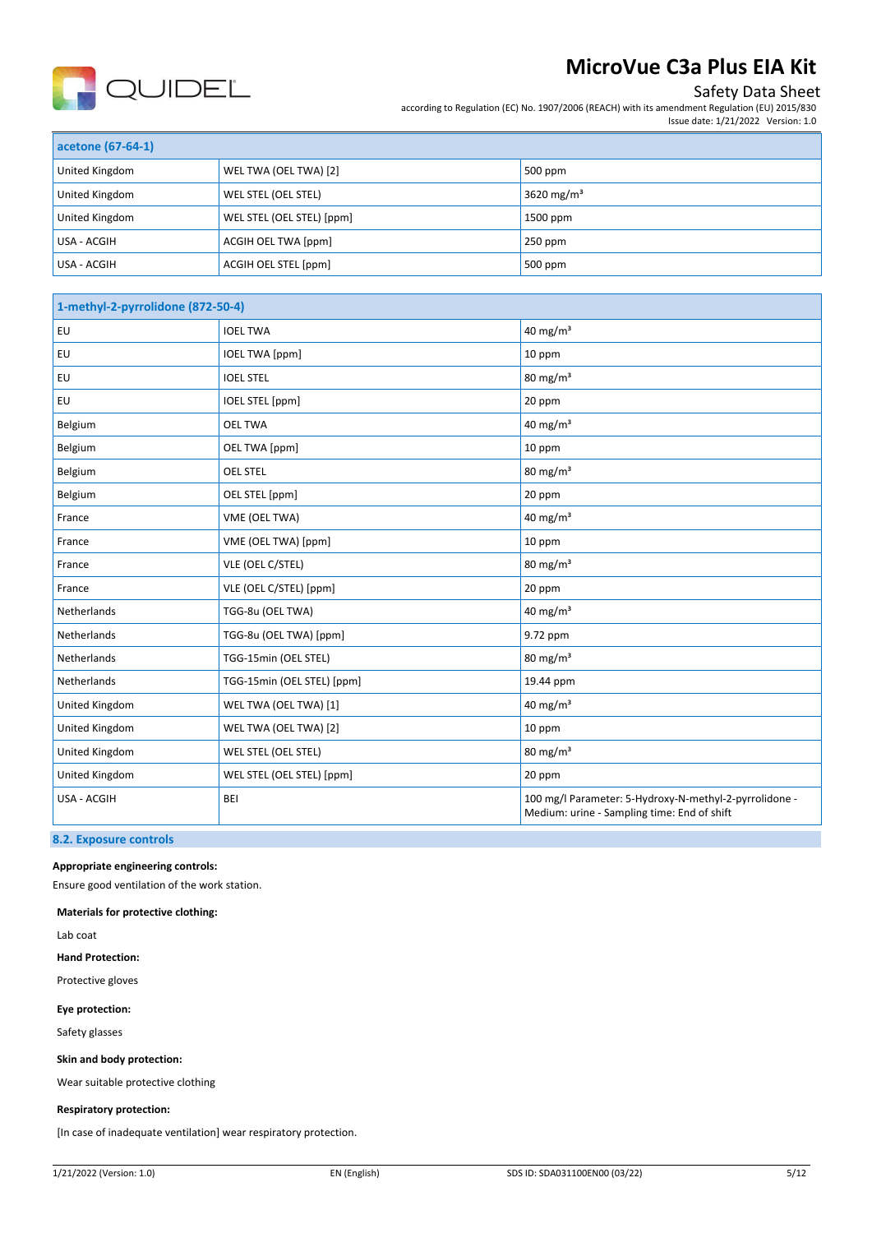

## Safety Data Sheet

according to Regulation (EC) No. 1907/2006 (REACH) with its amendment Regulation (EU) 2015/830 Issue date: 1/21/2022 Version: 1.0

| acetone (67-64-1) |                           |                        |
|-------------------|---------------------------|------------------------|
| United Kingdom    | WEL TWA (OEL TWA) [2]     | 500 ppm                |
| United Kingdom    | WEL STEL (OEL STEL)       | 3620 mg/m <sup>3</sup> |
| United Kingdom    | WEL STEL (OEL STEL) [ppm] | 1500 ppm               |
| USA - ACGIH       | ACGIH OEL TWA [ppm]       | $250$ ppm              |
| USA - ACGIH       | ACGIH OEL STEL [ppm]      | 500 ppm                |

| 1-methyl-2-pyrrolidone (872-50-4) |                            |                                                                                                       |
|-----------------------------------|----------------------------|-------------------------------------------------------------------------------------------------------|
| EU                                | <b>IOEL TWA</b>            | 40 mg/m $3$                                                                                           |
| EU                                | <b>IOEL TWA [ppm]</b>      | 10 ppm                                                                                                |
| EU                                | <b>IOEL STEL</b>           | $80 \text{ mg/m}^3$                                                                                   |
| EU                                | IOEL STEL [ppm]            | 20 ppm                                                                                                |
| Belgium                           | <b>OEL TWA</b>             | 40 mg/ $m3$                                                                                           |
| Belgium                           | OEL TWA [ppm]              | 10 ppm                                                                                                |
| Belgium                           | <b>OEL STEL</b>            | $80 \text{ mg/m}^3$                                                                                   |
| Belgium                           | OEL STEL [ppm]             | 20 ppm                                                                                                |
| France                            | VME (OEL TWA)              | 40 mg/ $m3$                                                                                           |
| France                            | VME (OEL TWA) [ppm]        | 10 ppm                                                                                                |
| France                            | VLE (OEL C/STEL)           | $80 \text{ mg/m}^3$                                                                                   |
| France                            | VLE (OEL C/STEL) [ppm]     | 20 ppm                                                                                                |
| Netherlands                       | TGG-8u (OEL TWA)           | 40 mg/ $m3$                                                                                           |
| Netherlands                       | TGG-8u (OEL TWA) [ppm]     | 9.72 ppm                                                                                              |
| Netherlands                       | TGG-15min (OEL STEL)       | $80 \text{ mg/m}^3$                                                                                   |
| Netherlands                       | TGG-15min (OEL STEL) [ppm] | 19.44 ppm                                                                                             |
| United Kingdom                    | WEL TWA (OEL TWA) [1]      | 40 mg/ $m3$                                                                                           |
| <b>United Kingdom</b>             | WEL TWA (OEL TWA) [2]      | 10 ppm                                                                                                |
| United Kingdom                    | WEL STEL (OEL STEL)        | $80 \text{ mg/m}^3$                                                                                   |
| United Kingdom                    | WEL STEL (OEL STEL) [ppm]  | 20 ppm                                                                                                |
| USA - ACGIH                       | <b>BEI</b>                 | 100 mg/l Parameter: 5-Hydroxy-N-methyl-2-pyrrolidone -<br>Medium: urine - Sampling time: End of shift |

#### **8.2. Exposure controls**

#### **Appropriate engineering controls:**

Ensure good ventilation of the work station.

**Materials for protective clothing:**

Lab coat

**Hand Protection:** 

Protective gloves

**Eye protection:**

Safety glasses

#### **Skin and body protection:**

Wear suitable protective clothing

#### **Respiratory protection:**

[In case of inadequate ventilation] wear respiratory protection.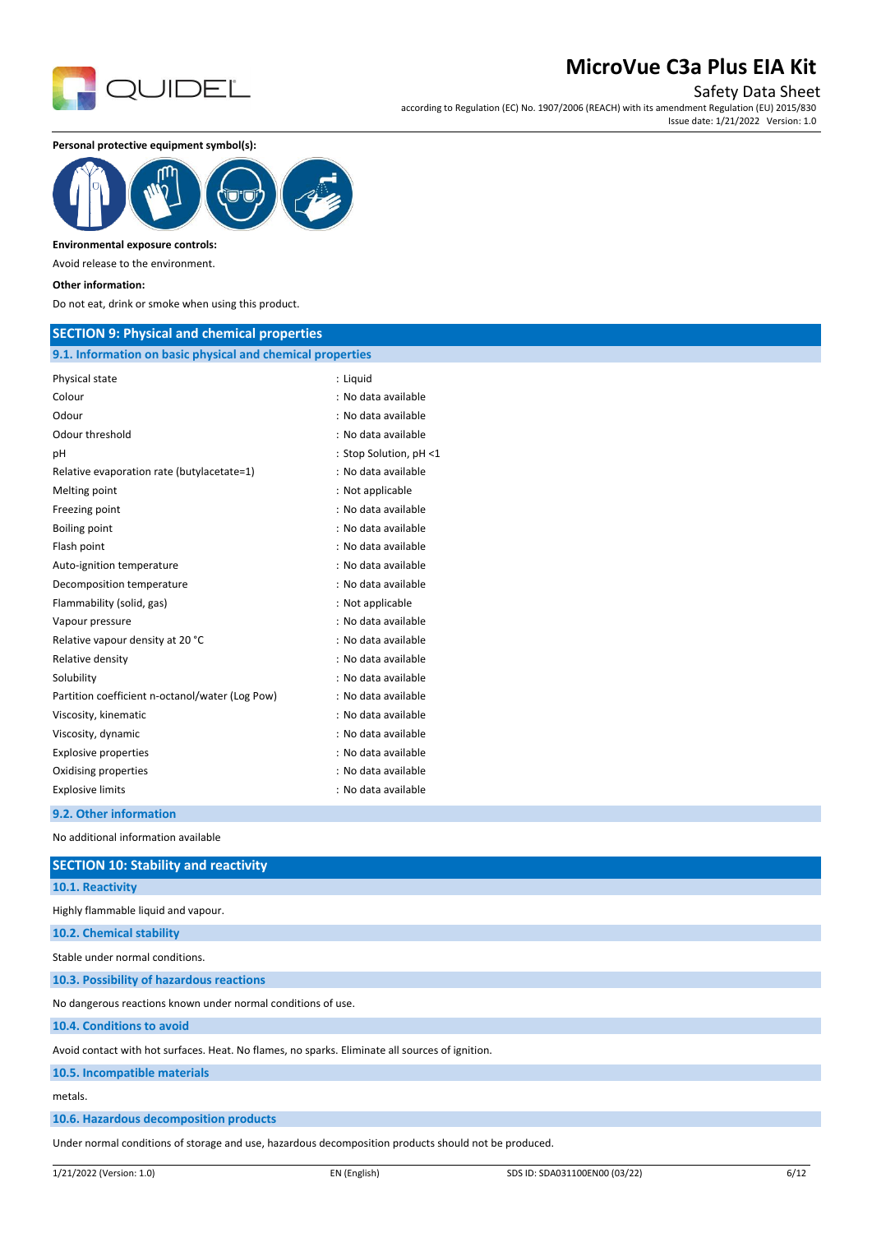

Safety Data Sheet

according to Regulation (EC) No. 1907/2006 (REACH) with its amendment Regulation (EU) 2015/830 Issue date: 1/21/2022 Version: 1.0

**Personal protective equipment symbol(s):**



#### **Environmental exposure controls:**

Avoid release to the environment.

#### **Other information:**

Do not eat, drink or smoke when using this product.

### **SECTION 9: Physical and chemical properties**

## **9.1. Information on basic physical and chemical properties**

| Physical state                                  | : Liquid               |
|-------------------------------------------------|------------------------|
| Colour                                          | : No data available    |
| Odour                                           | : No data available    |
| Odour threshold                                 | : No data available    |
| рH                                              | : Stop Solution, pH <1 |
| Relative evaporation rate (butylacetate=1)      | : No data available    |
| Melting point                                   | : Not applicable       |
| Freezing point                                  | : No data available    |
| <b>Boiling point</b>                            | : No data available    |
| Flash point                                     | : No data available    |
| Auto-ignition temperature                       | : No data available    |
| Decomposition temperature                       | : No data available    |
| Flammability (solid, gas)                       | : Not applicable       |
| Vapour pressure                                 | : No data available    |
| Relative vapour density at 20 °C                | : No data available    |
| Relative density                                | : No data available    |
| Solubility                                      | : No data available    |
| Partition coefficient n-octanol/water (Log Pow) | : No data available    |
| Viscosity, kinematic                            | : No data available    |
| Viscosity, dynamic                              | : No data available    |
| <b>Explosive properties</b>                     | : No data available    |
| Oxidising properties                            | : No data available    |
| <b>Explosive limits</b>                         | : No data available    |
| 9.2. Other information                          |                        |

No additional information available

| <b>SECTION 10: Stability and reactivity</b>                                                     |
|-------------------------------------------------------------------------------------------------|
| 10.1. Reactivity                                                                                |
| Highly flammable liquid and vapour.                                                             |
| 10.2. Chemical stability                                                                        |
| Stable under normal conditions.                                                                 |
| 10.3. Possibility of hazardous reactions                                                        |
| No dangerous reactions known under normal conditions of use.                                    |
| 10.4. Conditions to avoid                                                                       |
| Avoid contact with hot surfaces. Heat. No flames, no sparks. Eliminate all sources of ignition. |
| 10.5. Incompatible materials                                                                    |
| metals.                                                                                         |
| 10.6. Hazardous decomposition products                                                          |
|                                                                                                 |

Under normal conditions of storage and use, hazardous decomposition products should not be produced.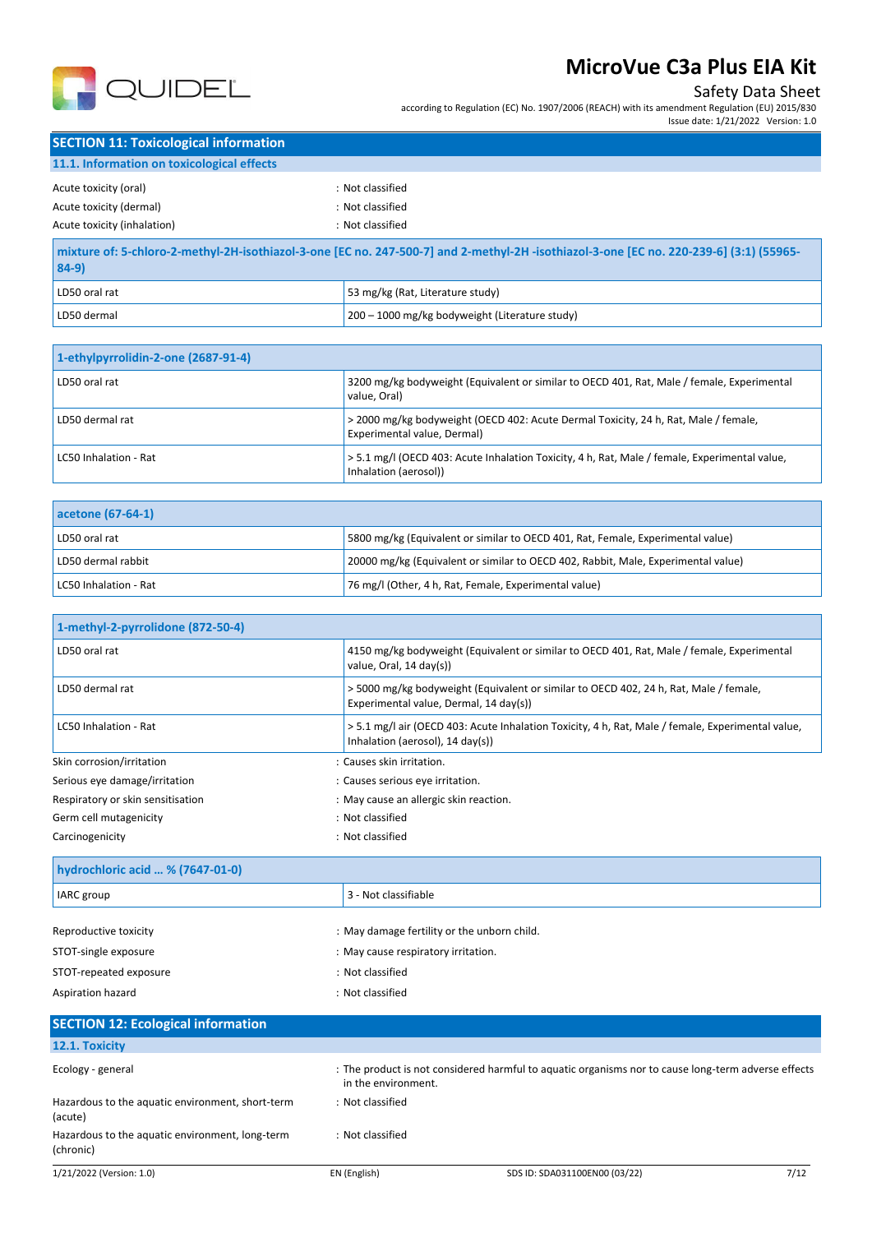

## Safety Data Sheet

according to Regulation (EC) No. 1907/2006 (REACH) with its amendment Regulation (EU) 2015/830

Issue date: 1/21/2022 Version: 1.0

| <b>SECTION 11: Toxicological information</b> |                  |  |
|----------------------------------------------|------------------|--|
| 11.1. Information on toxicological effects   |                  |  |
| Acute toxicity (oral)                        | : Not classified |  |
| Acute toxicity (dermal)                      | : Not classified |  |
| Acute toxicity (inhalation)                  | : Not classified |  |
|                                              |                  |  |

| mixture of: 5-chloro-2-methyl-2H-isothiazol-3-one [EC no. 247-500-7] and 2-methyl-2H-isothiazol-3-one [EC no. 220-239-6] (3:1) (55965-<br>$84-9)$ |                                                |  |
|---------------------------------------------------------------------------------------------------------------------------------------------------|------------------------------------------------|--|
| LD50 oral rat                                                                                                                                     | 53 mg/kg (Rat, Literature study)               |  |
| LD50 dermal                                                                                                                                       | 200 - 1000 mg/kg bodyweight (Literature study) |  |

| 1-ethylpyrrolidin-2-one (2687-91-4) |                                                                                                                        |
|-------------------------------------|------------------------------------------------------------------------------------------------------------------------|
| LD50 oral rat                       | 3200 mg/kg bodyweight (Equivalent or similar to OECD 401, Rat, Male / female, Experimental<br>value. Oral)             |
| LD50 dermal rat                     | > 2000 mg/kg bodyweight (OECD 402: Acute Dermal Toxicity, 24 h, Rat, Male / female,<br>Experimental value, Dermal)     |
| LC50 Inhalation - Rat               | > 5.1 mg/l (OECD 403: Acute Inhalation Toxicity, 4 h, Rat, Male / female, Experimental value,<br>Inhalation (aerosol)) |

| acetone (67-64-1)     |                                                                                   |  |
|-----------------------|-----------------------------------------------------------------------------------|--|
| LD50 oral rat         | 5800 mg/kg (Equivalent or similar to OECD 401, Rat, Female, Experimental value)   |  |
| LD50 dermal rabbit    | 20000 mg/kg (Equivalent or similar to OECD 402, Rabbit, Male, Experimental value) |  |
| LC50 Inhalation - Rat | 76 mg/l (Other, 4 h, Rat, Female, Experimental value)                             |  |

| 1-methyl-2-pyrrolidone (872-50-4) |                                                                                                                                       |
|-----------------------------------|---------------------------------------------------------------------------------------------------------------------------------------|
| LD50 oral rat                     | 4150 mg/kg bodyweight (Equivalent or similar to OECD 401, Rat, Male / female, Experimental<br>value, Oral, 14 day(s))                 |
| LD50 dermal rat                   | > 5000 mg/kg bodyweight (Equivalent or similar to OECD 402, 24 h, Rat, Male / female,<br>Experimental value, Dermal, 14 day(s))       |
| LC50 Inhalation - Rat             | > 5.1 mg/l air (OECD 403: Acute Inhalation Toxicity, 4 h, Rat, Male / female, Experimental value,<br>Inhalation (aerosol), 14 day(s)) |
| Skin corrosion/irritation         | : Causes skin irritation.                                                                                                             |
| Serious eye damage/irritation     | : Causes serious eye irritation.                                                                                                      |
| Respiratory or skin sensitisation | : May cause an allergic skin reaction.                                                                                                |
| Germ cell mutagenicity            | : Not classified                                                                                                                      |
| Carcinogenicity                   | : Not classified                                                                                                                      |

| hydrochloric acid  % (7647-01-0)            |  |  |
|---------------------------------------------|--|--|
| 3 - Not classifiable                        |  |  |
|                                             |  |  |
| : May damage fertility or the unborn child. |  |  |
| : May cause respiratory irritation.         |  |  |
| : Not classified                            |  |  |
| : Not classified                            |  |  |
|                                             |  |  |

#### 1/21/2022 (Version: 1.0) EN (English) SDS ID: SDA031100EN00 (03/22) 7/12 **SECTION 12: Ecological information 12.1. Toxicity** Ecology - general states of the product is not considered harmful to aquatic organisms nor to cause long-term adverse effects in the environment. Hazardous to the aquatic environment, short-term (acute) : Not classified Hazardous to the aquatic environment, long-term (chronic) : Not classified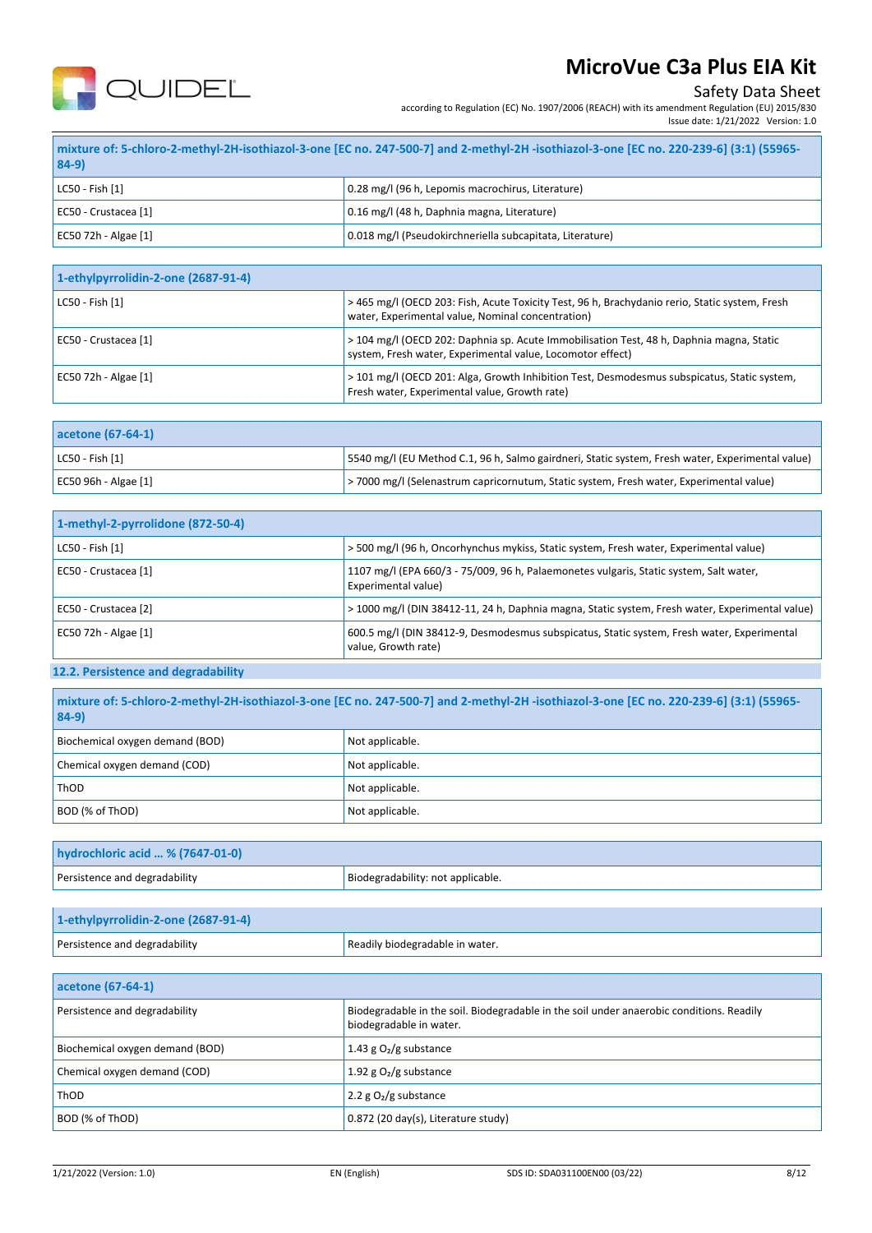

## Safety Data Sheet

according to Regulation (EC) No. 1907/2006 (REACH) with its amendment Regulation (EU) 2015/830

Issue date: 1/21/2022 Version: 1.0

| mixture of: 5-chloro-2-methyl-2H-isothiazol-3-one [EC no. 247-500-7] and 2-methyl-2H -isothiazol-3-one [EC no. 220-239-6] (3:1) (55965-  <br>$84-9$ |                                                          |
|-----------------------------------------------------------------------------------------------------------------------------------------------------|----------------------------------------------------------|
| LC50 - Fish [1]                                                                                                                                     | 0.28 mg/l (96 h, Lepomis macrochirus, Literature)        |
| EC50 - Crustacea [1]                                                                                                                                | 0.16 mg/l (48 h, Daphnia magna, Literature)              |
| EC50 72h - Algae [1]                                                                                                                                | 0.018 mg/l (Pseudokirchneriella subcapitata, Literature) |

| 1-ethylpyrrolidin-2-one (2687-91-4) |                                                                                                                                                        |
|-------------------------------------|--------------------------------------------------------------------------------------------------------------------------------------------------------|
| LC50 - Fish [1]                     | >465 mg/l (OECD 203: Fish, Acute Toxicity Test, 96 h, Brachydanio rerio, Static system, Fresh<br>water, Experimental value, Nominal concentration)     |
| EC50 - Crustacea [1]                | > 104 mg/l (OECD 202: Daphnia sp. Acute Immobilisation Test, 48 h, Daphnia magna, Static<br>system, Fresh water, Experimental value, Locomotor effect) |
| EC50 72h - Algae [1]                | > 101 mg/l (OECD 201: Alga, Growth Inhibition Test, Desmodesmus subspicatus, Static system,<br>Fresh water, Experimental value, Growth rate)           |

| acetone (67-64-1)     |                                                                                                   |
|-----------------------|---------------------------------------------------------------------------------------------------|
| $ $ LC50 - Fish $[1]$ | [5540 mg/l (EU Method C.1, 96 h, Salmo gairdneri, Static system, Fresh water, Experimental value) |
| EC50 96h - Algae [1]  | >7000 mg/l (Selenastrum capricornutum, Static system, Fresh water, Experimental value)            |

| 1-methyl-2-pyrrolidone (872-50-4) |                                                                                                                   |
|-----------------------------------|-------------------------------------------------------------------------------------------------------------------|
| LC50 - Fish [1]                   | > 500 mg/l (96 h, Oncorhynchus mykiss, Static system, Fresh water, Experimental value)                            |
| EC50 - Crustacea [1]              | 1107 mg/l (EPA 660/3 - 75/009, 96 h, Palaemonetes vulgaris, Static system, Salt water,<br>Experimental value)     |
| EC50 - Crustacea [2]              | > 1000 mg/l (DIN 38412-11, 24 h, Daphnia magna, Static system, Fresh water, Experimental value)                   |
| EC50 72h - Algae [1]              | 600.5 mg/l (DIN 38412-9, Desmodesmus subspicatus, Static system, Fresh water, Experimental<br>value, Growth rate) |

## **12.2. Persistence and degradability**

| mixture of: 5-chloro-2-methyl-2H-isothiazol-3-one [EC no. 247-500-7] and 2-methyl-2H-isothiazol-3-one [EC no. 220-239-6] (3:1) (55965-<br>$ 84-9 $ |                   |
|----------------------------------------------------------------------------------------------------------------------------------------------------|-------------------|
| Biochemical oxygen demand (BOD)                                                                                                                    | Not applicable.   |
| Chemical oxygen demand (COD)                                                                                                                       | Not applicable.   |
| ThOD                                                                                                                                               | Not applicable.   |
| BOD (% of ThOD)                                                                                                                                    | I Not applicable. |

| hydrochloric acid  % (7647-01-0) |                                   |
|----------------------------------|-----------------------------------|
| Persistence and degradability    | Biodegradability: not applicable. |
|                                  |                                   |

| 1-ethylpyrrolidin-2-one (2687-91-4) |                                 |
|-------------------------------------|---------------------------------|
| Persistence and degradability       | Readily biodegradable in water. |

| acetone (67-64-1)               |                                                                                                                     |
|---------------------------------|---------------------------------------------------------------------------------------------------------------------|
| Persistence and degradability   | Biodegradable in the soil. Biodegradable in the soil under anaerobic conditions. Readily<br>biodegradable in water. |
| Biochemical oxygen demand (BOD) | 1.43 g $O_2/g$ substance                                                                                            |
| Chemical oxygen demand (COD)    | 1.92 g $O2/g$ substance                                                                                             |
| ThOD                            | 2.2 $g O2/g$ substance                                                                                              |
| BOD (% of ThOD)                 | 0.872 (20 day(s), Literature study)                                                                                 |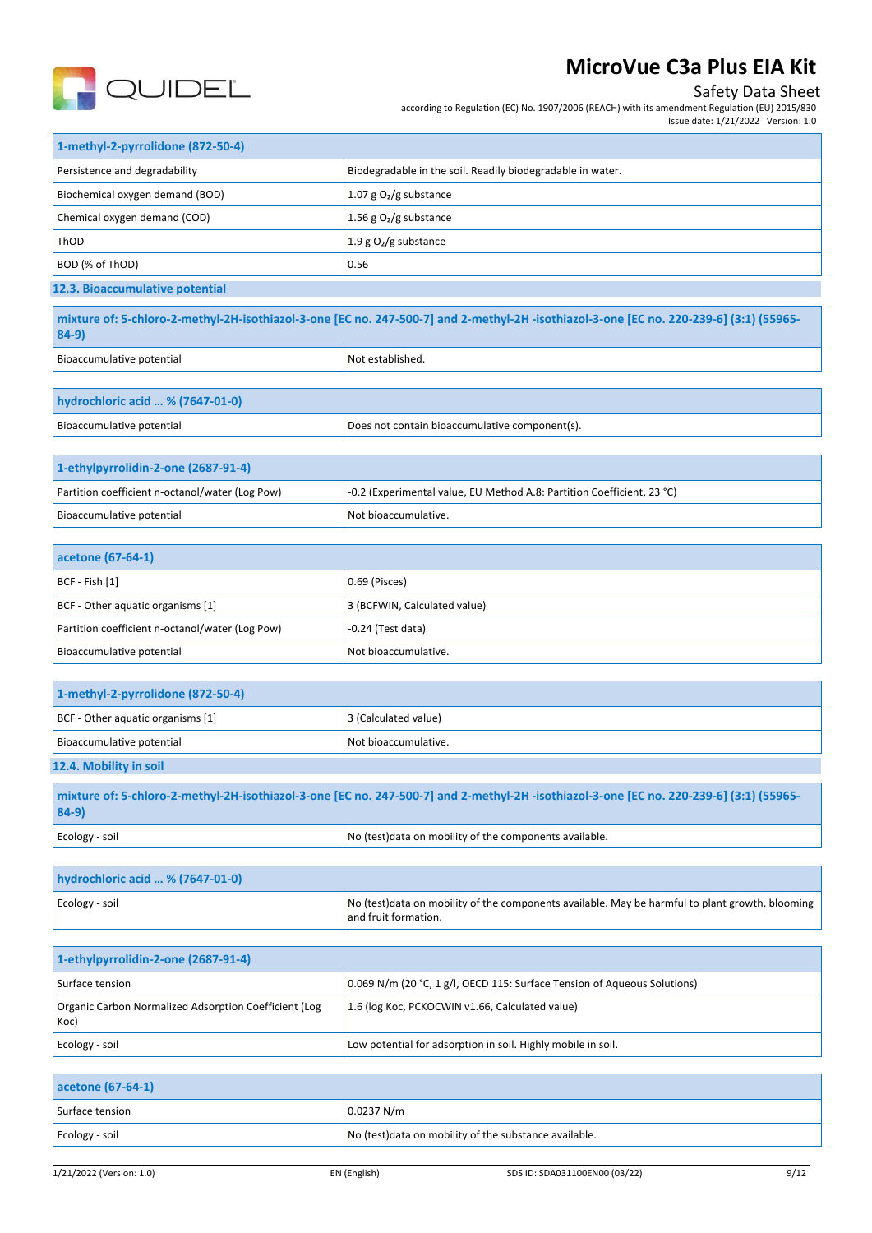

## Safety Data Sheet

according to Regulation (EC) No. 1907/2006 (REACH) with its amendment Regulation (EU) 2015/830 Issue date: 1/21/2022 Version: 1.0

| 1-methyl-2-pyrrolidone (872-50-4) |                                                            |
|-----------------------------------|------------------------------------------------------------|
| Persistence and degradability     | Biodegradable in the soil. Readily biodegradable in water. |
| Biochemical oxygen demand (BOD)   | 1.07 g $O2/g$ substance                                    |
| Chemical oxygen demand (COD)      | 1.56 g $O_2$ /g substance                                  |
| ThOD                              | 1.9 g $O2$ /g substance                                    |
| BOD (% of ThOD)                   | 0.56                                                       |
| 12.3. Bioaccumulative potential   |                                                            |

| mixture of: 5-chloro-2-methyl-2H-isothiazol-3-one [EC no. 247-500-7] and 2-methyl-2H-isothiazol-3-one [EC no. 220-239-6] (3:1) (55965-<br>$84-9$ |                  |
|--------------------------------------------------------------------------------------------------------------------------------------------------|------------------|
| Bioaccumulative potential                                                                                                                        | Not established. |

| hydrochloric acid  % (7647-01-0) |                                                |
|----------------------------------|------------------------------------------------|
| Bioaccumulative potential        | Does not contain bioaccumulative component(s). |

| 1-ethylpyrrolidin-2-one (2687-91-4)             |                                                                        |
|-------------------------------------------------|------------------------------------------------------------------------|
| Partition coefficient n-octanol/water (Log Pow) | -0.2 (Experimental value, EU Method A.8: Partition Coefficient, 23 °C) |
| Bioaccumulative potential                       | Not bioaccumulative.                                                   |

| acetone (67-64-1)                               |                              |  |
|-------------------------------------------------|------------------------------|--|
| $ BCF - Fish [1]$                               | 0.69 (Pisces)                |  |
| BCF - Other aquatic organisms [1]               | 3 (BCFWIN, Calculated value) |  |
| Partition coefficient n-octanol/water (Log Pow) | $-0.24$ (Test data)          |  |
| Bioaccumulative potential                       | Not bioaccumulative.         |  |

| 1-methyl-2-pyrrolidone (872-50-4)                                                                                                       |                      |  |
|-----------------------------------------------------------------------------------------------------------------------------------------|----------------------|--|
| BCF - Other aquatic organisms [1]                                                                                                       | 3 (Calculated value) |  |
| Bioaccumulative potential                                                                                                               | Not bioaccumulative. |  |
| 12.4. Mobility in soil                                                                                                                  |                      |  |
| mixture of: 5-chloro-2-methyl-2H-isothiazol-3-one [EC no. 247-500-7] and 2-methyl-2H -isothiazol-3-one [EC no. 220-239-6] (3:1) (55965- |                      |  |

| $84-9$         |                                                             |
|----------------|-------------------------------------------------------------|
| Ecology - soil | nponents available.<br>Nr<br>n on mobility of the component |

| hydrochloric acid  % (7647-01-0) |                                                                                                                          |
|----------------------------------|--------------------------------------------------------------------------------------------------------------------------|
| Ecology - soil                   | No (test) data on mobility of the components available. May be harmful to plant growth, blooming<br>and fruit formation. |

| 1-ethylpyrrolidin-2-one (2687-91-4)                           |                                                                          |  |
|---------------------------------------------------------------|--------------------------------------------------------------------------|--|
| Surface tension                                               | 0.069 N/m (20 °C, 1 g/l, OECD 115: Surface Tension of Aqueous Solutions) |  |
| Organic Carbon Normalized Adsorption Coefficient (Log<br>Koc) | 1.6 (log Koc, PCKOCWIN v1.66, Calculated value)                          |  |
| Ecology - soil                                                | Low potential for adsorption in soil. Highly mobile in soil.             |  |

| acetone (67-64-1) |                                                        |
|-------------------|--------------------------------------------------------|
| Surface tension   | 0.0237 N/m                                             |
| Ecology - soil    | No (test) data on mobility of the substance available. |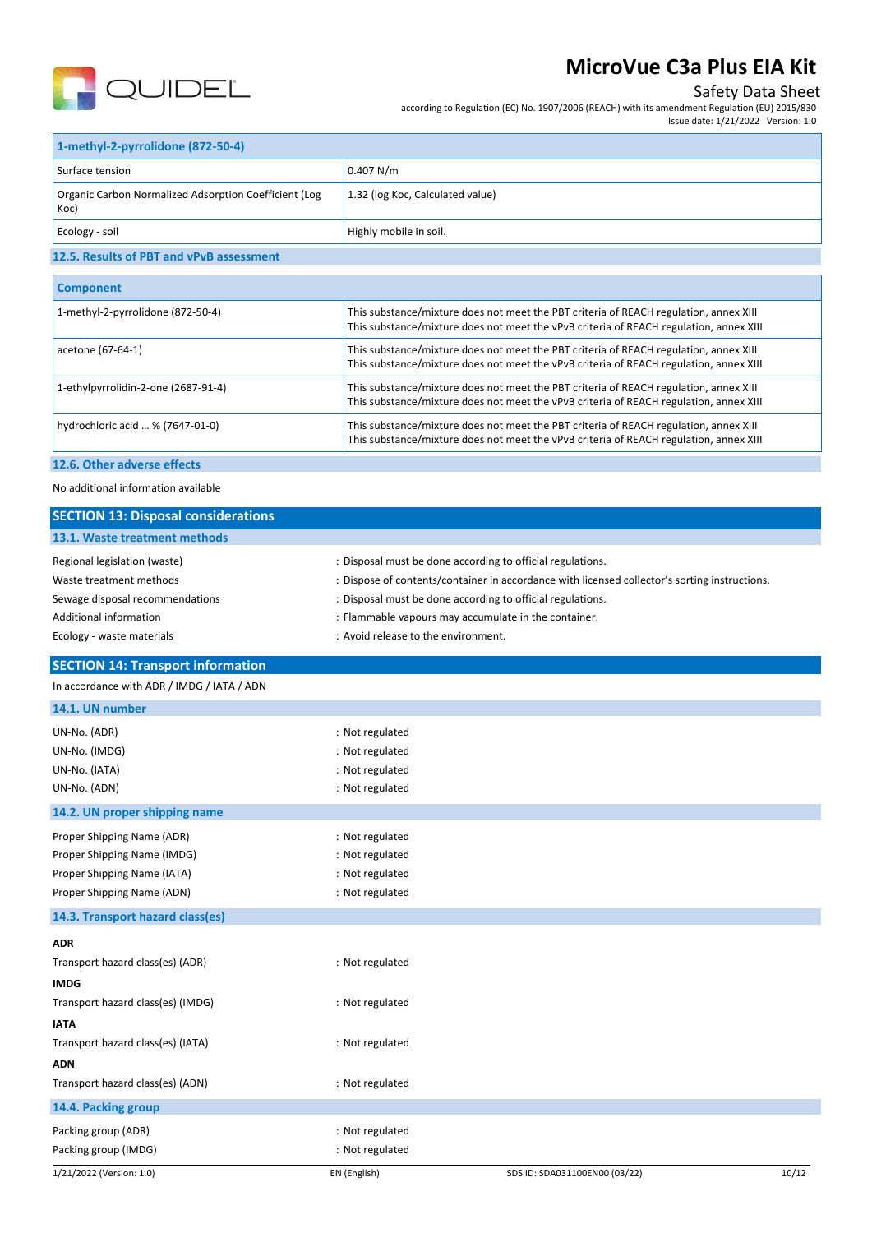

Koc)

# **MicroVue C3a Plus EIA Kit**

## Safety Data Sheet

according to Regulation (EC) No. 1907/2006 (REACH) with its amendment Regulation (EU) 2015/830 Issue date: 1/21/2022 Version: 1.0

| 1-methyl-2-pyrrolidone (872-50-4)                                  |                                  |
|--------------------------------------------------------------------|----------------------------------|
| Surface tension                                                    | 0.407 N/m                        |
| Organic Carbon Normalized Adsorption Coefficient (Log<br>$1/2 - 1$ | 1.32 (log Koc, Calculated value) |

| Ecology - soil                           | Highly mobile in soil. |
|------------------------------------------|------------------------|
| 12.5. Results of PBT and vPvB assessment |                        |

| <b>Component</b>                    |                                                                                                                                                                                 |  |
|-------------------------------------|---------------------------------------------------------------------------------------------------------------------------------------------------------------------------------|--|
| 1-methyl-2-pyrrolidone (872-50-4)   | This substance/mixture does not meet the PBT criteria of REACH regulation, annex XIII<br>This substance/mixture does not meet the vPvB criteria of REACH regulation, annex XIII |  |
| acetone (67-64-1)                   | This substance/mixture does not meet the PBT criteria of REACH regulation, annex XIII<br>This substance/mixture does not meet the vPvB criteria of REACH regulation, annex XIII |  |
| 1-ethylpyrrolidin-2-one (2687-91-4) | This substance/mixture does not meet the PBT criteria of REACH regulation, annex XIII<br>This substance/mixture does not meet the vPvB criteria of REACH regulation, annex XIII |  |
| hydrochloric acid  % (7647-01-0)    | This substance/mixture does not meet the PBT criteria of REACH regulation, annex XIII<br>This substance/mixture does not meet the vPvB criteria of REACH regulation, annex XIII |  |
|                                     |                                                                                                                                                                                 |  |

### **12.6. Other adverse effects**

No additional information available

| <b>SECTION 13: Disposal considerations</b>                                                                                                               |                                                                          |                                                                                                                                                                                                                                                                                   |       |
|----------------------------------------------------------------------------------------------------------------------------------------------------------|--------------------------------------------------------------------------|-----------------------------------------------------------------------------------------------------------------------------------------------------------------------------------------------------------------------------------------------------------------------------------|-------|
| 13.1. Waste treatment methods                                                                                                                            |                                                                          |                                                                                                                                                                                                                                                                                   |       |
| Regional legislation (waste)<br>Waste treatment methods<br>Sewage disposal recommendations<br><b>Additional information</b><br>Ecology - waste materials | : Avoid release to the environment.                                      | : Disposal must be done according to official regulations.<br>: Dispose of contents/container in accordance with licensed collector's sorting instructions.<br>: Disposal must be done according to official regulations.<br>: Flammable vapours may accumulate in the container. |       |
| <b>SECTION 14: Transport information</b>                                                                                                                 |                                                                          |                                                                                                                                                                                                                                                                                   |       |
| In accordance with ADR / IMDG / IATA / ADN                                                                                                               |                                                                          |                                                                                                                                                                                                                                                                                   |       |
| 14.1. UN number                                                                                                                                          |                                                                          |                                                                                                                                                                                                                                                                                   |       |
| UN-No. (ADR)<br>UN-No. (IMDG)<br>UN-No. (IATA)<br>UN-No. (ADN)                                                                                           | : Not regulated<br>: Not regulated<br>: Not regulated<br>: Not regulated |                                                                                                                                                                                                                                                                                   |       |
| 14.2. UN proper shipping name                                                                                                                            |                                                                          |                                                                                                                                                                                                                                                                                   |       |
| Proper Shipping Name (ADR)<br>Proper Shipping Name (IMDG)<br>Proper Shipping Name (IATA)<br>Proper Shipping Name (ADN)                                   | : Not regulated<br>: Not regulated<br>: Not regulated<br>: Not regulated |                                                                                                                                                                                                                                                                                   |       |
| 14.3. Transport hazard class(es)                                                                                                                         |                                                                          |                                                                                                                                                                                                                                                                                   |       |
| <b>ADR</b><br>Transport hazard class(es) (ADR)<br><b>IMDG</b><br>Transport hazard class(es) (IMDG)                                                       | : Not regulated<br>: Not regulated                                       |                                                                                                                                                                                                                                                                                   |       |
| <b>IATA</b>                                                                                                                                              |                                                                          |                                                                                                                                                                                                                                                                                   |       |
| Transport hazard class(es) (IATA)<br><b>ADN</b>                                                                                                          | : Not regulated                                                          |                                                                                                                                                                                                                                                                                   |       |
| Transport hazard class(es) (ADN)                                                                                                                         | : Not regulated                                                          |                                                                                                                                                                                                                                                                                   |       |
| 14.4. Packing group                                                                                                                                      |                                                                          |                                                                                                                                                                                                                                                                                   |       |
| Packing group (ADR)<br>Packing group (IMDG)                                                                                                              | : Not regulated<br>: Not regulated                                       |                                                                                                                                                                                                                                                                                   |       |
| 1/21/2022 (Version: 1.0)                                                                                                                                 | EN (English)                                                             | SDS ID: SDA031100EN00 (03/22)                                                                                                                                                                                                                                                     | 10/12 |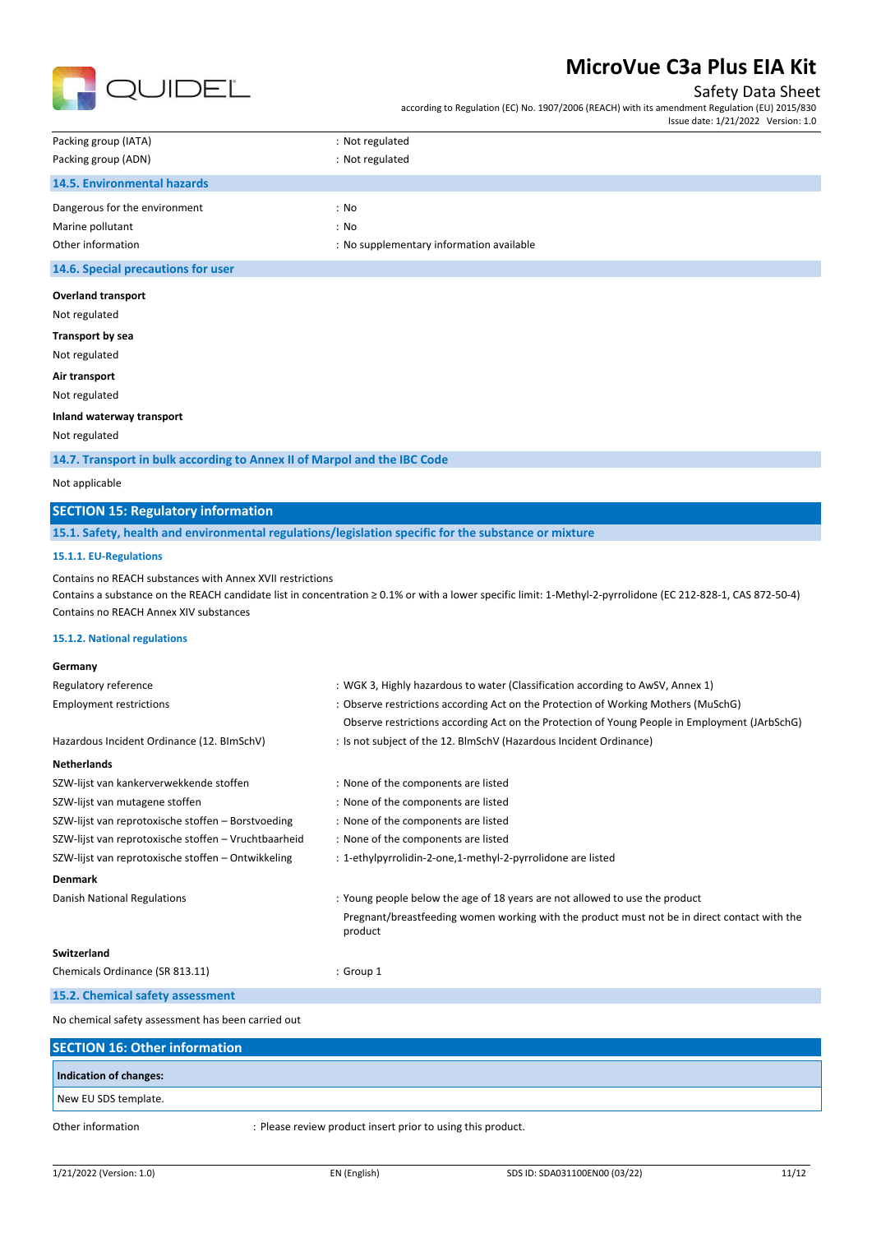

### Safety Data Sheet

according to Regulation (EC) No. 1907/2006 (REACH) with its amendment Regulation (EU) 2015/830 Issue date: 1/21/2022 Version: 1.0

| Packing group (IATA)               | : Not regulated                          |
|------------------------------------|------------------------------------------|
| Packing group (ADN)                | : Not regulated                          |
| 14.5. Environmental hazards        |                                          |
| Dangerous for the environment      | : No                                     |
| Marine pollutant                   | : No                                     |
| Other information                  | : No supplementary information available |
| 14.6. Special precautions for user |                                          |

#### **Overland transport**

Not regulated

**Transport by sea**

Not regulated

**Air transport**

Not regulated

#### **Inland waterway transport**

Not regulated

**14.7. Transport in bulk according to Annex II of Marpol and the IBC Code**

#### Not applicable

## **SECTION 15: Regulatory information**

**15.1. Safety, health and environmental regulations/legislation specific for the substance or mixture**

### **15.1.1. EU-Regulations**

Contains no REACH substances with Annex XVII restrictions

Contains a substance on the REACH candidate list in concentration ≥ 0.1% or with a lower specific limit: 1-Methyl-2-pyrrolidone (EC 212-828-1, CAS 872-50-4) Contains no REACH Annex XIV substances

#### **15.1.2. National regulations**

| Germany                                              |                                                                                                         |
|------------------------------------------------------|---------------------------------------------------------------------------------------------------------|
| Regulatory reference                                 | : WGK 3, Highly hazardous to water (Classification according to AwSV, Annex 1)                          |
| <b>Employment restrictions</b>                       | : Observe restrictions according Act on the Protection of Working Mothers (MuSchG)                      |
|                                                      | Observe restrictions according Act on the Protection of Young People in Employment (JArbSchG)           |
| Hazardous Incident Ordinance (12. BImSchV)           | : Is not subject of the 12. BlmSchV (Hazardous Incident Ordinance)                                      |
| <b>Netherlands</b>                                   |                                                                                                         |
| SZW-lijst van kankerverwekkende stoffen              | : None of the components are listed                                                                     |
| SZW-lijst van mutagene stoffen                       | : None of the components are listed                                                                     |
| SZW-lijst van reprotoxische stoffen – Borstvoeding   | : None of the components are listed                                                                     |
| SZW-lijst van reprotoxische stoffen – Vruchtbaarheid | : None of the components are listed                                                                     |
| SZW-lijst van reprotoxische stoffen - Ontwikkeling   | : 1-ethylpyrrolidin-2-one,1-methyl-2-pyrrolidone are listed                                             |
| <b>Denmark</b>                                       |                                                                                                         |
| Danish National Regulations                          | : Young people below the age of 18 years are not allowed to use the product                             |
|                                                      | Pregnant/breastfeeding women working with the product must not be in direct contact with the<br>product |
| Switzerland                                          |                                                                                                         |
| Chemicals Ordinance (SR 813.11)                      | : Group 1                                                                                               |
| 15.2. Chemical safety assessment                     |                                                                                                         |
| No chemical safety assessment has been carried out   |                                                                                                         |

**SECTION 16: Other information Indication of changes:** New EU SDS template. Other information : Please review product insert prior to using this product.